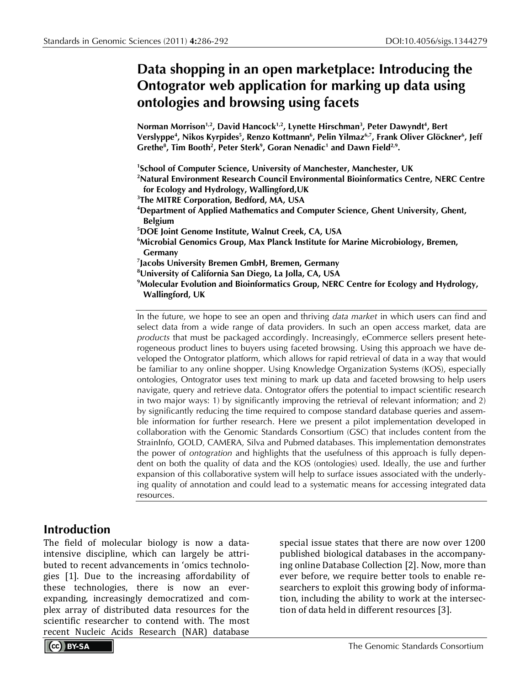# **Data shopping in an open marketplace: Introducing the Ontogrator web application for marking up data using ontologies and browsing using facets**

**Norman Morrison1,2, David Hancock1,2, Lynette Hirschman3 , Peter Dawyndt4 , Bert Verslyppe4 , Nikos Kyrpides5 , Renzo Kottmann6 , Pelin Yilmaz6,7, Frank Oliver Glöckner6 , Jeff** Grethe<sup>8</sup>, Tim Booth<sup>2</sup>, Peter Sterk<sup>9</sup>, Goran Nenadic<sup>1</sup> and Dawn Field<sup>2,9</sup>.

**1 School of Computer Science, University of Manchester, Manchester, UK**

- **2 Natural Environment Research Council Environmental Bioinformatics Centre, NERC Centre for Ecology and Hydrology, Wallingford,UK**
- **3 The MITRE Corporation, Bedford, MA, USA**
- **4 Department of Applied Mathematics and Computer Science, Ghent University, Ghent, Belgium**

**5 DOE Joint Genome Institute, Walnut Creek, CA, USA**

**6 Microbial Genomics Group, Max Planck Institute for Marine Microbiology, Bremen, Germany**

**7 Jacobs University Bremen GmbH, Bremen, Germany**

**8 University of California San Diego, La Jolla, CA, USA**

**9 Molecular Evolution and Bioinformatics Group, NERC Centre for Ecology and Hydrology, Wallingford, UK**

In the future, we hope to see an open and thriving *data market* in which users can find and select data from a wide range of data providers. In such an open access market, data are *products* that must be packaged accordingly. Increasingly, eCommerce sellers present heterogeneous product lines to buyers using faceted browsing. Using this approach we have developed the Ontogrator platform, which allows for rapid retrieval of data in a way that would be familiar to any online shopper. Using Knowledge Organization Systems (KOS), especially ontologies, Ontogrator uses text mining to mark up data and faceted browsing to help users navigate, query and retrieve data. Ontogrator offers the potential to impact scientific research in two major ways: 1) by significantly improving the retrieval of relevant information; and 2) by significantly reducing the time required to compose standard database queries and assemble information for further research. Here we present a pilot implementation developed in collaboration with the Genomic Standards Consortium (GSC) that includes content from the StrainInfo, GOLD, CAMERA, Silva and Pubmed databases. This implementation demonstrates the power of *ontogration* and highlights that the usefulness of this approach is fully dependent on both the quality of data and the KOS (ontologies) used. Ideally, the use and further expansion of this collaborative system will help to surface issues associated with the underlying quality of annotation and could lead to a systematic means for accessing integrated data resources.

### **Introduction**

The field of molecular biology is now a dataintensive discipline, which can largely be attributed to recent advancements in 'omics technologies [1]. Due to the increasing affordability of these technologies, there is now an everexpanding, increasingly democratized and complex array of distributed data resources for the scientific researcher to contend with. The most recent Nucleic Acids Research (NAR) database

special issue states that there are now over 1200 published biological databases in the accompanying online Database Collection [2]. Now, more than ever before, we require better tools to enable researchers to exploit this growing body of information, including the ability to work at the intersection of data held in different resources [3].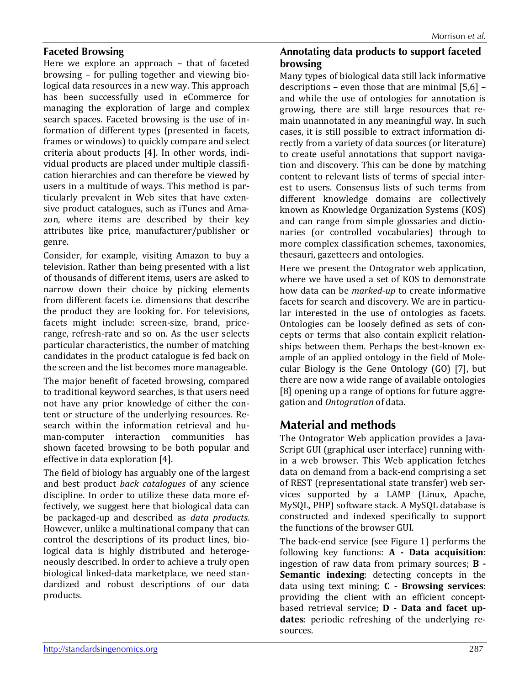#### **Faceted Browsing**

Here we explore an approach – that of faceted browsing – for pulling together and viewing biological data resources in a new way. This approach has been successfully used in eCommerce for managing the exploration of large and complex search spaces. Faceted browsing is the use of information of different types (presented in facets, frames or windows) to quickly compare and select criteria about products [4]. In other words, individual products are placed under multiple classification hierarchies and can therefore be viewed by users in a multitude of ways. This method is particularly prevalent in Web sites that have extensive product catalogues, such as iTunes and Amazon, where items are described by their key attributes like price, manufacturer/publisher or genre.

Consider, for example, visiting Amazon to buy a television. Rather than being presented with a list of thousands of different items, users are asked to narrow down their choice by picking elements from different facets i.e. dimensions that describe the product they are looking for. For televisions, facets might include: screen-size, brand, pricerange, refresh-rate and so on. As the user selects particular characteristics, the number of matching candidates in the product catalogue is fed back on the screen and the list becomes more manageable.

The major benefit of faceted browsing, compared to traditional keyword searches, is that users need not have any prior knowledge of either the content or structure of the underlying resources. Research within the information retrieval and human-computer interaction communities has shown faceted browsing to be both popular and effective in data exploration [4].

The field of biology has arguably one of the largest and best product *back catalogues* of any science discipline. In order to utilize these data more effectively, we suggest here that biological data can be packaged-up and described as *data products*. However, unlike a multinational company that can control the descriptions of its product lines, biological data is highly distributed and heterogeneously described. In order to achieve a truly open biological linked-data marketplace, we need standardized and robust descriptions of our data products.

#### **Annotating data products to support faceted browsing**

Many types of biological data still lack informative descriptions – even those that are minimal [5,6] – and while the use of ontologies for annotation is growing, there are still large resources that remain unannotated in any meaningful way. In such cases, it is still possible to extract information directly from a variety of data sources (or literature) to create useful annotations that support navigation and discovery. This can be done by matching content to relevant lists of terms of special interest to users. Consensus lists of such terms from different knowledge domains are collectively known as Knowledge Organization Systems (KOS) and can range from simple glossaries and dictionaries (or controlled vocabularies) through to more complex classification schemes, taxonomies, thesauri, gazetteers and ontologies.

Here we present the Ontogrator web application, where we have used a set of KOS to demonstrate how data can be *marked-up* to create informative facets for search and discovery. We are in particular interested in the use of ontologies as facets. Ontologies can be loosely defined as sets of concepts or terms that also contain explicit relationships between them. Perhaps the best-known example of an applied ontology in the field of Molecular Biology is the Gene Ontology (GO) [7], but there are now a wide range of available ontologies [8] opening up a range of options for future aggregation and *Ontogration* of data.

## **Material and methods**

The Ontogrator Web application provides a Java-Script GUI (graphical user interface) running within a web browser. This Web application fetches data on demand from a back-end comprising a set of REST (representational state transfer) web services supported by a LAMP (Linux, Apache, MySQL, PHP) software stack. A MySQL database is constructed and indexed specifically to support the functions of the browser GUI.

The back-end service (see Figure 1) performs the following key functions: **A - Data acquisition**: ingestion of raw data from primary sources; **B - Semantic indexing**: detecting concepts in the data using text mining; **C - Browsing services**: providing the client with an efficient conceptbased retrieval service; **D - Data and facet updates**: periodic refreshing of the underlying resources.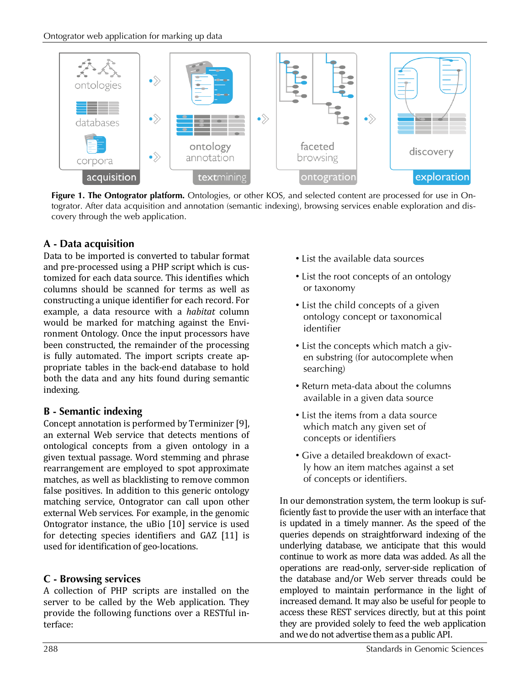

**Figure 1. The Ontogrator platform.** Ontologies, or other KOS, and selected content are processed for use in Ontogrator. After data acquisition and annotation (semantic indexing), browsing services enable exploration and discovery through the web application.

### **A - Data acquisition**

Data to be imported is converted to tabular format and pre-processed using a PHP script which is customized for each data source. This identifies which columns should be scanned for terms as well as constructing a unique identifier for each record. For example, a data resource with a *habitat* column would be marked for matching against the Environment Ontology. Once the input processors have been constructed, the remainder of the processing is fully automated. The import scripts create appropriate tables in the back-end database to hold both the data and any hits found during semantic indexing.

#### **B - Semantic indexing**

Concept annotation is performed by Terminizer [9], an external Web service that detects mentions of ontological concepts from a given ontology in a given textual passage. Word stemming and phrase rearrangement are employed to spot approximate matches, as well as blacklisting to remove common false positives. In addition to this generic ontology matching service, Ontogrator can call upon other external Web services. For example, in the genomic Ontogrator instance, the uBio [10] service is used for detecting species identifiers and GAZ [11] is used for identification of geo-locations.

#### **C - Browsing services**

A collection of PHP scripts are installed on the server to be called by the Web application. They provide the following functions over a RESTful interface:

- List the available data sources
- List the root concepts of an ontology or taxonomy
- List the child concepts of a given ontology concept or taxonomical identifier
- List the concepts which match a given substring (for autocomplete when searching)
- Return meta-data about the columns available in a given data source
- List the items from a data source which match any given set of concepts or identifiers
- Give a detailed breakdown of exactly how an item matches against a set of concepts or identifiers.

In our demonstration system, the term lookup is sufficiently fast to provide the user with an interface that is updated in a timely manner. As the speed of the queries depends on straightforward indexing of the underlying database, we anticipate that this would continue to work as more data was added. As all the operations are read-only, server-side replication of the database and/or Web server threads could be employed to maintain performance in the light of increased demand. It may also be useful for people to access these REST services directly, but at this point they are provided solely to feed the web application and we do not advertise them as a public API.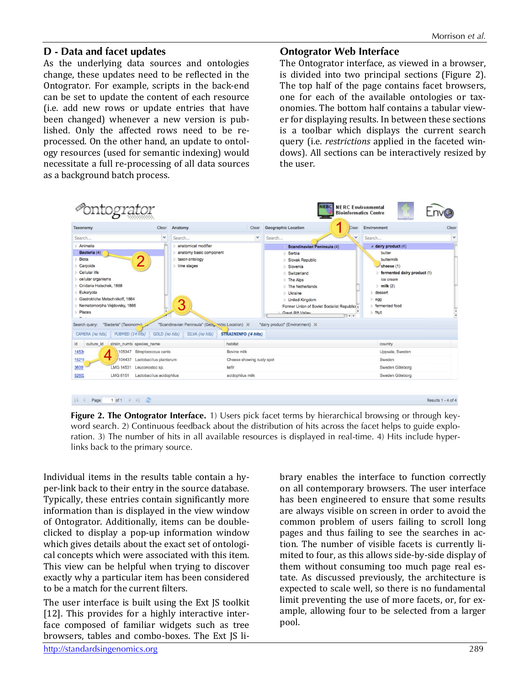#### **D - Data and facet updates**

As the underlying data sources and ontologies change, these updates need to be reflected in the Ontogrator. For example, scripts in the back-end can be set to update the content of each resource (i.e. add new rows or update entries that have been changed) whenever a new version is published. Only the affected rows need to be reprocessed. On the other hand, an update to ontology resources (used for semantic indexing) would necessitate a full re-processing of all data sources as a background batch process.

#### **Ontogrator Web Interface**

The Ontogrator interface, as viewed in a browser, is divided into two principal sections (Figure 2). The top half of the page contains facet browsers, one for each of the available ontologies or taxonomies. The bottom half contains a tabular viewer for displaying results. In between these sections is a toolbar which displays the current search query (i.e. *restrictions* applied in the faceted windows). All sections can be interactively resized by the user.

| Taxonomy                                                                                                                                                                                                                   | Clear                                                     | Anatomy<br>Clear                                                                                                                                | <b>Geographic Location</b>                                                                                                                                                                                                                                                                                                | Environment<br>Clear                                                                                                                                                                    | Clear                    |
|----------------------------------------------------------------------------------------------------------------------------------------------------------------------------------------------------------------------------|-----------------------------------------------------------|-------------------------------------------------------------------------------------------------------------------------------------------------|---------------------------------------------------------------------------------------------------------------------------------------------------------------------------------------------------------------------------------------------------------------------------------------------------------------------------|-----------------------------------------------------------------------------------------------------------------------------------------------------------------------------------------|--------------------------|
| Search                                                                                                                                                                                                                     | v                                                         | $\checkmark$<br>Search                                                                                                                          | Search                                                                                                                                                                                                                                                                                                                    | v<br>Search                                                                                                                                                                             | v                        |
| Animalia<br>Bacteria (4)<br>Biota<br>Carpoids<br>Cellular life<br>cellular organisms<br>Cnidaria Hatschek, 1888<br>Eukaryota<br>Gastrotricha Metschnikoff, 1864<br>Nematomorpha Vejdovsky, 1886<br>Pisces<br>Search query: | "Bacteria" (Taxonomy)                                     | anatomical modifier<br>anatomy basic component<br>taxon ontology<br>time stages<br>"Scandinavian Peninsula" (Geo <sub>b</sub> vohic Location) % | Scandinavian Peninsula (4)<br><b>Serbia</b><br>Slovak Republic<br><b>Slovenia</b><br><b>Switzerland</b><br><b>The Alps</b><br><b>D</b> The Netherlands<br><b>Ukraine</b><br><b>United Kingdom</b><br>Former Union of Soviet Socialist Republics .<br>Great Rift Valley<br>$3 - 1 - 1$<br>"dairy product" (Environment) 30 | a dairy product (4)<br>butter<br>buttermilk<br>cheese (1)<br>fermented dairy product (1)<br>ice cream<br>$\triangleright$ milk (2)<br>dessert<br>$e$ egg<br>fermented food<br>$p$ fruit | $\overline{\phantom{a}}$ |
| CAMERA (no hits)                                                                                                                                                                                                           | PUBMED (14 hits)<br>GOLD (no hits)                        | <b>STRAININFO (4 hits)</b><br>SILVA (no hits)                                                                                                   |                                                                                                                                                                                                                                                                                                                           |                                                                                                                                                                                         |                          |
| culture id<br>id                                                                                                                                                                                                           | strain numb species name                                  | habitat                                                                                                                                         |                                                                                                                                                                                                                                                                                                                           | country                                                                                                                                                                                 |                          |
| 14534                                                                                                                                                                                                                      | 105347 Streptococcus canis<br>4                           |                                                                                                                                                 |                                                                                                                                                                                                                                                                                                                           | Uppsala, Sweden                                                                                                                                                                         |                          |
| 15218<br>Lactobacillus plantarum<br>104437                                                                                                                                                                                 |                                                           | Cheese showing rusty spot                                                                                                                       |                                                                                                                                                                                                                                                                                                                           | Sweden                                                                                                                                                                                  |                          |
| 3609                                                                                                                                                                                                                       | LMG 14531<br>Leuconostoc sp.                              |                                                                                                                                                 |                                                                                                                                                                                                                                                                                                                           | Sweden Göteborg                                                                                                                                                                         |                          |
| 5260                                                                                                                                                                                                                       | LMG 8151<br>Lactobacillus acidophilus<br>acidophilus milk |                                                                                                                                                 |                                                                                                                                                                                                                                                                                                                           | Sweden Göteborg                                                                                                                                                                         |                          |

**Figure 2. The Ontogrator Interface.** 1) Users pick facet terms by hierarchical browsing or through keyword search. 2) Continuous feedback about the distribution of hits across the facet helps to guide exploration. 3) The number of hits in all available resources is displayed in real-time. 4) Hits include hyperlinks back to the primary source.

Individual items in the results table contain a hyper-link back to their entry in the source database. Typically, these entries contain significantly more information than is displayed in the view window of Ontogrator. Additionally, items can be doubleclicked to display a pop-up information window which gives details about the exact set of ontological concepts which were associated with this item. This view can be helpful when trying to discover exactly why a particular item has been considered to be a match for the current filters.

The user interface is built using the Ext JS toolkit [12]. This provides for a highly interactive interface composed of familiar widgets such as tree browsers, tables and combo-boxes. The Ext JS li-

[http://standardsingenomics.org](http://standardsingenomics.org/) 289

brary enables the interface to function correctly on all contemporary browsers. The user interface has been engineered to ensure that some results are always visible on screen in order to avoid the common problem of users failing to scroll long pages and thus failing to see the searches in action. The number of visible facets is currently limited to four, as this allows side-by-side display of them without consuming too much page real estate. As discussed previously, the architecture is expected to scale well, so there is no fundamental limit preventing the use of more facets, or, for example, allowing four to be selected from a larger pool.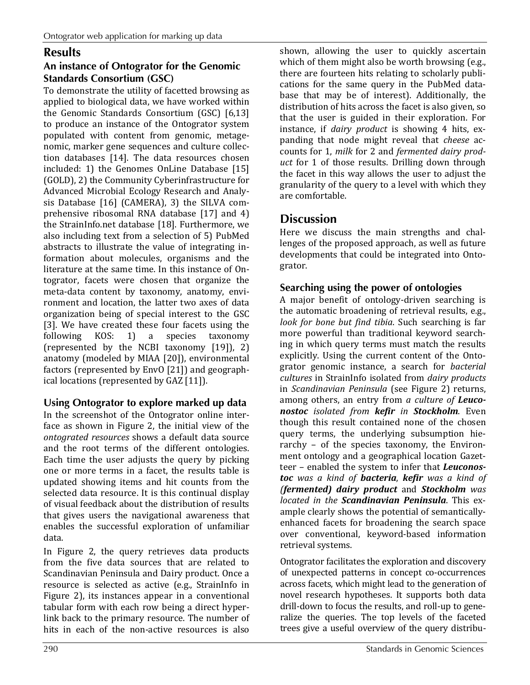### **Results**

#### **An instance of Ontogrator for the Genomic Standards Consortium (GSC)**

To demonstrate the utility of facetted browsing as applied to biological data, we have worked within the Genomic Standards Consortium (GSC) [6,13] to produce an instance of the Ontogrator system populated with content from genomic, metagenomic, marker gene sequences and culture collection databases [14]. The data resources chosen included: 1) the Genomes OnLine Database [15] (GOLD), 2) the Community Cyberinfrastructure for Advanced Microbial Ecology Research and Analysis Database [16] (CAMERA), 3) the SILVA comprehensive ribosomal RNA database [17] and 4) the StrainInfo.net database [18]. Furthermore, we also including text from a selection of 5) PubMed abstracts to illustrate the value of integrating information about molecules, organisms and the literature at the same time. In this instance of Ontogrator, facets were chosen that organize the meta-data content by taxonomy, anatomy, environment and location, the latter two axes of data organization being of special interest to the GSC [3]. We have created these four facets using the following  $KOS: 1$  a species taxonomy  $f$ ollowing KOS: (represented by the NCBI taxonomy [19]), 2) anatomy (modeled by MIAA [20]), environmental factors (represented by EnvO [21]) and geographical locations (represented by GAZ [11]).

### **Using Ontogrator to explore marked up data**

In the screenshot of the Ontogrator online interface as shown in Figure 2, the initial view of the *ontograted resources* shows a default data source and the root terms of the different ontologies. Each time the user adjusts the query by picking one or more terms in a facet, the results table is updated showing items and hit counts from the selected data resource. It is this continual display of visual feedback about the distribution of results that gives users the navigational awareness that enables the successful exploration of unfamiliar data.

In Figure 2, the query retrieves data products from the five data sources that are related to Scandinavian Peninsula and Dairy product. Once a resource is selected as active (e.g., StrainInfo in Figure 2), its instances appear in a conventional tabular form with each row being a direct hyperlink back to the primary resource. The number of hits in each of the non-active resources is also

shown, allowing the user to quickly ascertain which of them might also be worth browsing (e.g., there are fourteen hits relating to scholarly publications for the same query in the PubMed database that may be of interest). Additionally, the distribution of hits across the facet is also given, so that the user is guided in their exploration. For instance, if *dairy product* is showing 4 hits, expanding that node might reveal that *cheese* accounts for 1, *milk* for 2 and *fermented dairy product* for 1 of those results. Drilling down through the facet in this way allows the user to adjust the granularity of the query to a level with which they are comfortable.

## **Discussion**

Here we discuss the main strengths and challenges of the proposed approach, as well as future developments that could be integrated into Ontogrator.

#### **Searching using the power of ontologies**

A major benefit of ontology-driven searching is the automatic broadening of retrieval results, e.g., *look for bone but find tibia*. Such searching is far more powerful than traditional keyword searching in which query terms must match the results explicitly. Using the current content of the Ontogrator genomic instance, a search for *bacterial cultures* in StrainInfo isolated from *dairy products* in *Scandinavian Peninsula* (see Figure 2) returns, among others, an entry from *a culture of Leuconostoc isolated from kefir in Stockholm*. Even though this result contained none of the chosen query terms, the underlying subsumption hierarchy – of the species taxonomy, the Environment ontology and a geographical location Gazetteer – enabled the system to infer that *Leuconostoc was a kind of bacteria*, *kefir was a kind of (fermented) dairy product* and *Stockholm was located in the Scandinavian Peninsula*. This example clearly shows the potential of semanticallyenhanced facets for broadening the search space over conventional, keyword-based information retrieval systems.

Ontogrator facilitates the exploration and discovery of unexpected patterns in concept co-occurrences across facets, which might lead to the generation of novel research hypotheses. It supports both data drill-down to focus the results, and roll-up to generalize the queries. The top levels of the faceted trees give a useful overview of the query distribu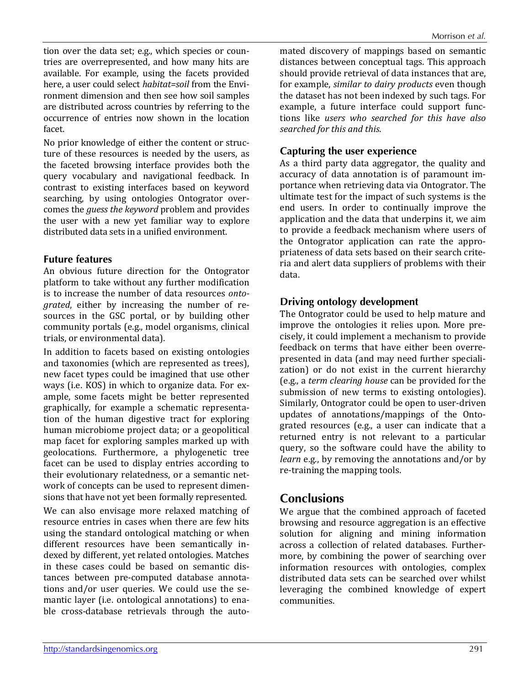tion over the data set; e.g., which species or countries are overrepresented, and how many hits are available. For example, using the facets provided here, a user could select *habitat=soil* from the Environment dimension and then see how soil samples are distributed across countries by referring to the occurrence of entries now shown in the location facet.

No prior knowledge of either the content or structure of these resources is needed by the users, as the faceted browsing interface provides both the query vocabulary and navigational feedback. In contrast to existing interfaces based on keyword searching, by using ontologies Ontogrator overcomes the *guess the keyword* problem and provides the user with a new yet familiar way to explore distributed data sets in a unified environment.

#### **Future features**

An obvious future direction for the Ontogrator platform to take without any further modification is to increase the number of data resources *ontograted*, either by increasing the number of resources in the GSC portal, or by building other community portals (e.g., model organisms, clinical trials, or environmental data).

In addition to facets based on existing ontologies and taxonomies (which are represented as trees), new facet types could be imagined that use other ways (i.e. KOS) in which to organize data. For example, some facets might be better represented graphically, for example a schematic representation of the human digestive tract for exploring human microbiome project data; or a geopolitical map facet for exploring samples marked up with geolocations. Furthermore, a phylogenetic tree facet can be used to display entries according to their evolutionary relatedness, or a semantic network of concepts can be used to represent dimensions that have not yet been formally represented.

We can also envisage more relaxed matching of resource entries in cases when there are few hits using the standard ontological matching or when different resources have been semantically indexed by different, yet related ontologies. Matches in these cases could be based on semantic distances between pre-computed database annotations and/or user queries. We could use the semantic layer (i.e. ontological annotations) to enable cross-database retrievals through the auto-

mated discovery of mappings based on semantic distances between conceptual tags. This approach should provide retrieval of data instances that are, for example, *similar to dairy products* even though the dataset has not been indexed by such tags. For example, a future interface could support functions like *users who searched for this have also searched for this and this*.

### **Capturing the user experience**

As a third party data aggregator, the quality and accuracy of data annotation is of paramount importance when retrieving data via Ontogrator. The ultimate test for the impact of such systems is the end users. In order to continually improve the application and the data that underpins it, we aim to provide a feedback mechanism where users of the Ontogrator application can rate the appropriateness of data sets based on their search criteria and alert data suppliers of problems with their data.

## **Driving ontology development**

The Ontogrator could be used to help mature and improve the ontologies it relies upon. More precisely, it could implement a mechanism to provide feedback on terms that have either been overrepresented in data (and may need further specialization) or do not exist in the current hierarchy (e.g., a *term clearing house* can be provided for the submission of new terms to existing ontologies). Similarly, Ontogrator could be open to user-driven updates of annotations/mappings of the Ontograted resources (e.g., a user can indicate that a returned entry is not relevant to a particular query, so the software could have the ability to *learn* e.g., by removing the annotations and/or by re-training the mapping tools.

# **Conclusions**

We argue that the combined approach of faceted browsing and resource aggregation is an effective solution for aligning and mining information across a collection of related databases. Furthermore, by combining the power of searching over information resources with ontologies, complex distributed data sets can be searched over whilst leveraging the combined knowledge of expert communities.